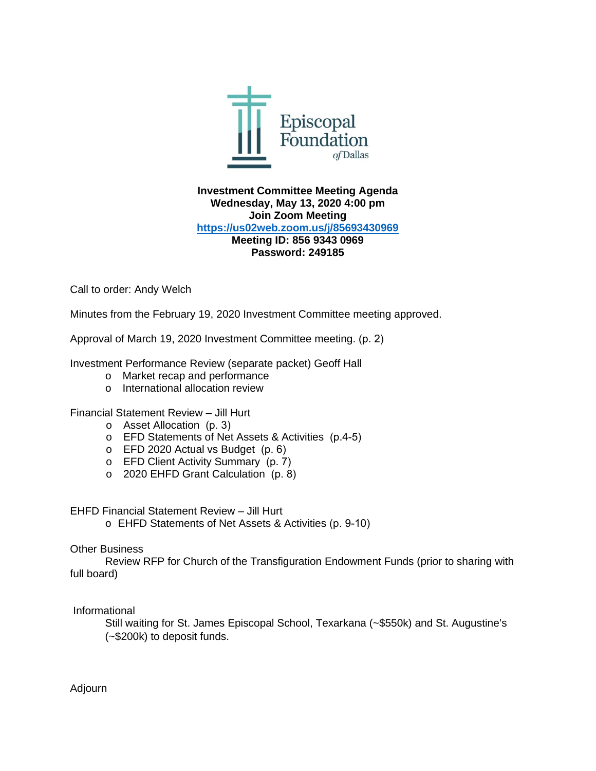

**Investment Committee Meeting Agenda Wednesday, May 13, 2020 4:00 pm Join Zoom Meeting <https://us02web.zoom.us/j/85693430969> Meeting ID: 856 9343 0969 Password: 249185**

Call to order: Andy Welch

Minutes from the February 19, 2020 Investment Committee meeting approved.

Approval of March 19, 2020 Investment Committee meeting. (p. 2)

Investment Performance Review (separate packet) Geoff Hall

- o Market recap and performance
- o International allocation review

## Financial Statement Review – Jill Hurt

- o Asset Allocation (p. 3)
- o EFD Statements of Net Assets & Activities (p.4-5)
- o EFD 2020 Actual vs Budget (p. 6)
- o EFD Client Activity Summary (p. 7)
- o 2020 EHFD Grant Calculation (p. 8)

EHFD Financial Statement Review – Jill Hurt

o EHFD Statements of Net Assets & Activities (p. 9-10)

## Other Business

Review RFP for Church of the Transfiguration Endowment Funds (prior to sharing with full board)

Informational

Still waiting for St. James Episcopal School, Texarkana (~\$550k) and St. Augustine's (~\$200k) to deposit funds.

Adjourn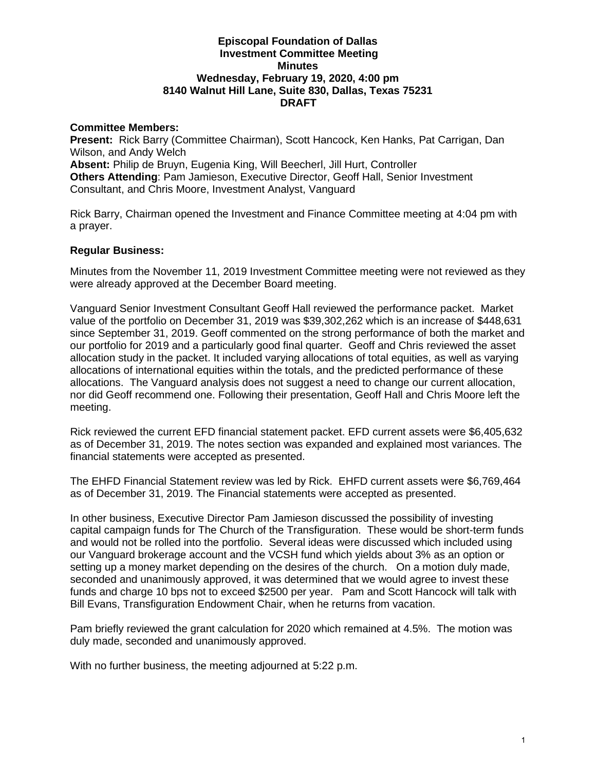## **Episcopal Foundation of Dallas Investment Committee Meeting Minutes Wednesday, February 19, 2020, 4:00 pm 8140 Walnut Hill Lane, Suite 830, Dallas, Texas 75231 DRAFT**

## **Committee Members:**

**Present:** Rick Barry (Committee Chairman), Scott Hancock, Ken Hanks, Pat Carrigan, Dan Wilson, and Andy Welch **Absent:** Philip de Bruyn, Eugenia King, Will Beecherl, Jill Hurt, Controller **Others Attending**: Pam Jamieson, Executive Director, Geoff Hall, Senior Investment Consultant, and Chris Moore, Investment Analyst, Vanguard

Rick Barry, Chairman opened the Investment and Finance Committee meeting at 4:04 pm with a prayer.

## **Regular Business:**

Minutes from the November 11, 2019 Investment Committee meeting were not reviewed as they were already approved at the December Board meeting.

Vanguard Senior Investment Consultant Geoff Hall reviewed the performance packet. Market value of the portfolio on December 31, 2019 was \$39,302,262 which is an increase of \$448,631 since September 31, 2019. Geoff commented on the strong performance of both the market and our portfolio for 2019 and a particularly good final quarter. Geoff and Chris reviewed the asset allocation study in the packet. It included varying allocations of total equities, as well as varying allocations of international equities within the totals, and the predicted performance of these allocations. The Vanguard analysis does not suggest a need to change our current allocation, nor did Geoff recommend one. Following their presentation, Geoff Hall and Chris Moore left the meeting.

Rick reviewed the current EFD financial statement packet. EFD current assets were \$6,405,632 as of December 31, 2019. The notes section was expanded and explained most variances. The financial statements were accepted as presented.

The EHFD Financial Statement review was led by Rick. EHFD current assets were \$6,769,464 as of December 31, 2019. The Financial statements were accepted as presented.

In other business, Executive Director Pam Jamieson discussed the possibility of investing capital campaign funds for The Church of the Transfiguration. These would be short-term funds and would not be rolled into the portfolio. Several ideas were discussed which included using our Vanguard brokerage account and the VCSH fund which yields about 3% as an option or setting up a money market depending on the desires of the church. On a motion duly made, seconded and unanimously approved, it was determined that we would agree to invest these funds and charge 10 bps not to exceed \$2500 per year. Pam and Scott Hancock will talk with Bill Evans, Transfiguration Endowment Chair, when he returns from vacation.

Pam briefly reviewed the grant calculation for 2020 which remained at 4.5%. The motion was duly made, seconded and unanimously approved.

With no further business, the meeting adjourned at 5:22 p.m.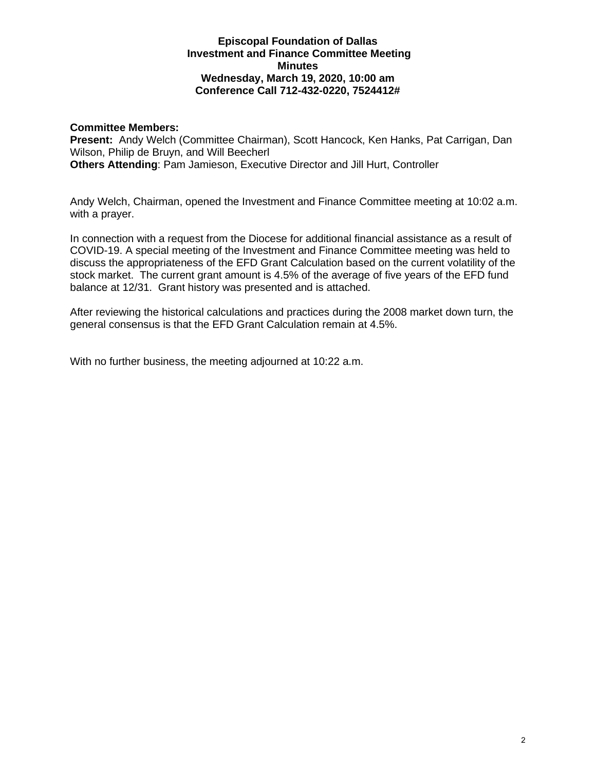## **Episcopal Foundation of Dallas Investment and Finance Committee Meeting Minutes Wednesday, March 19, 2020, 10:00 am Conference Call 712-432-0220, 7524412#**

## **Committee Members:**

**Present:** Andy Welch (Committee Chairman), Scott Hancock, Ken Hanks, Pat Carrigan, Dan Wilson, Philip de Bruyn, and Will Beecherl **Others Attending**: Pam Jamieson, Executive Director and Jill Hurt, Controller

Andy Welch, Chairman, opened the Investment and Finance Committee meeting at 10:02 a.m. with a prayer.

In connection with a request from the Diocese for additional financial assistance as a result of COVID-19. A special meeting of the Investment and Finance Committee meeting was held to discuss the appropriateness of the EFD Grant Calculation based on the current volatility of the stock market. The current grant amount is 4.5% of the average of five years of the EFD fund balance at 12/31. Grant history was presented and is attached.

After reviewing the historical calculations and practices during the 2008 market down turn, the general consensus is that the EFD Grant Calculation remain at 4.5%.

With no further business, the meeting adjourned at 10:22 a.m.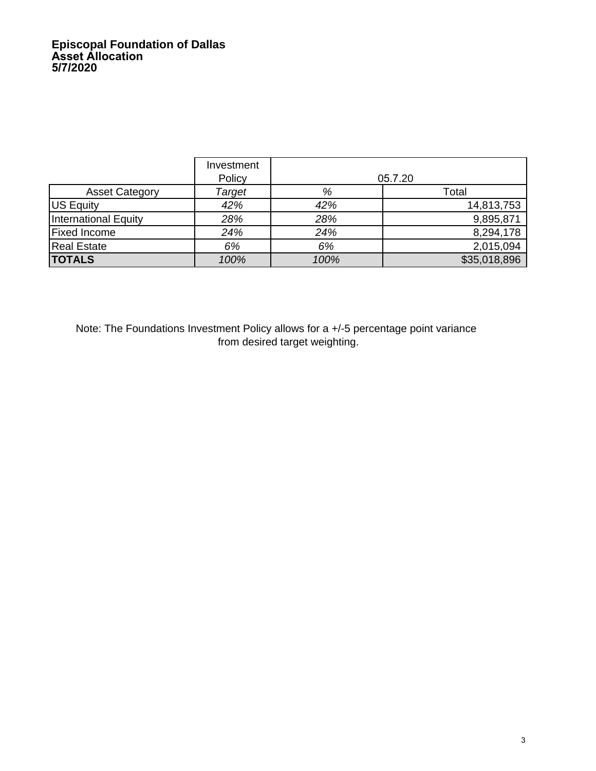# **Episcopal Foundation of Dallas Asset Allocation 5/7/2020**

|                             | Investment<br>Policy |      | 05.7.20      |
|-----------------------------|----------------------|------|--------------|
| <b>Asset Category</b>       | Target               | %    | Total        |
| US Equity                   | 42%                  | 42%  | 14,813,753   |
| <b>International Equity</b> | 28%                  | 28%  | 9,895,871    |
| <b>Fixed Income</b>         | 24%                  | 24%  | 8,294,178    |
| <b>Real Estate</b>          | 6%                   | 6%   | 2,015,094    |
| <b>TOTALS</b>               | 100%                 | 100% | \$35,018,896 |

Note: The Foundations Investment Policy allows for a +/-5 percentage point variance from desired target weighting.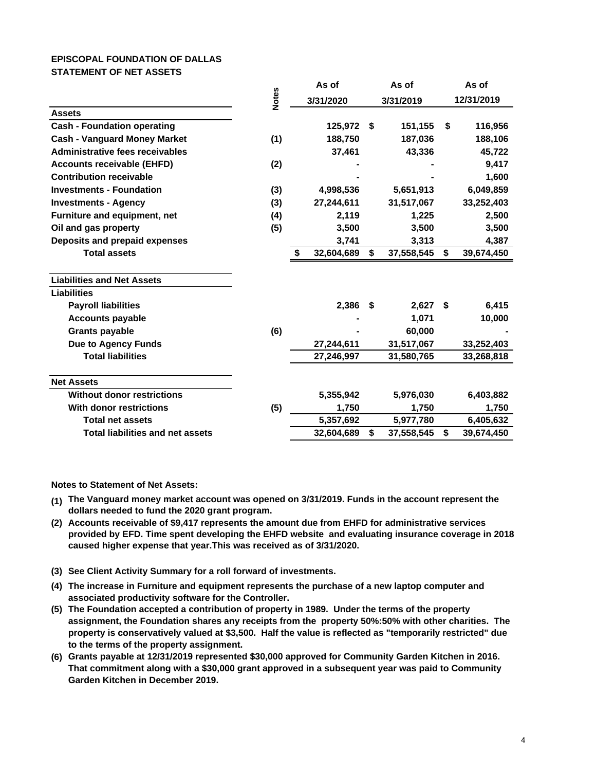### **EPISCOPAL FOUNDATION OF DALLAS STATEMENT OF NET ASSETS**

| <b>Notes</b><br>12/31/2019<br>3/31/2020<br>3/31/2019<br><b>Assets</b><br><b>Cash - Foundation operating</b><br>125,972<br>151,155<br>\$<br>116,956<br>Ŝ.<br><b>Cash - Vanguard Money Market</b><br>(1)<br>188,750<br>187,036<br>188,106<br>Administrative fees receivables<br>37,461<br>43,336<br>45,722<br>(2)<br>9,417<br><b>Accounts receivable (EHFD)</b><br><b>Contribution receivable</b><br>1,600<br><b>Investments - Foundation</b><br>(3)<br>4,998,536<br>5,651,913<br>6,049,859<br>31,517,067<br>33,252,403<br><b>Investments - Agency</b><br>(3)<br>27,244,611<br>Furniture and equipment, net<br>(4)<br>2,119<br>1,225<br>2,500<br>Oil and gas property<br>(5)<br>3,500<br>3,500<br>3,500<br>Deposits and prepaid expenses<br>3,313<br>4,387<br>3,741<br><b>Total assets</b><br>32,604,689<br>\$<br>37,558,545<br>\$<br>39,674,450<br>S<br><b>Liabilities and Net Assets</b><br><b>Liabilities</b><br>2,386<br>6,415<br><b>Payroll liabilities</b><br>2,627<br>\$<br>\$<br>1,071<br>10,000<br><b>Accounts payable</b><br>(6)<br><b>Grants payable</b><br>60,000<br><b>Due to Agency Funds</b><br>31,517,067<br>27,244,611<br>33,252,403<br><b>Total liabilities</b><br>27,246,997<br>31,580,765<br>33,268,818<br><b>Net Assets</b><br><b>Without donor restrictions</b><br>5,355,942<br>5,976,030<br>6,403,882<br>With donor restrictions<br>(5)<br>1,750<br>1,750<br>1,750<br>5,357,692<br><b>Total net assets</b><br>5,977,780<br>6,405,632<br><b>Total liabilities and net assets</b><br>\$<br>\$<br>32,604,689<br>37,558,545<br>39,674,450 |  | As of | As of | As of |
|------------------------------------------------------------------------------------------------------------------------------------------------------------------------------------------------------------------------------------------------------------------------------------------------------------------------------------------------------------------------------------------------------------------------------------------------------------------------------------------------------------------------------------------------------------------------------------------------------------------------------------------------------------------------------------------------------------------------------------------------------------------------------------------------------------------------------------------------------------------------------------------------------------------------------------------------------------------------------------------------------------------------------------------------------------------------------------------------------------------------------------------------------------------------------------------------------------------------------------------------------------------------------------------------------------------------------------------------------------------------------------------------------------------------------------------------------------------------------------------------------------------------------------------------------------|--|-------|-------|-------|
|                                                                                                                                                                                                                                                                                                                                                                                                                                                                                                                                                                                                                                                                                                                                                                                                                                                                                                                                                                                                                                                                                                                                                                                                                                                                                                                                                                                                                                                                                                                                                            |  |       |       |       |
|                                                                                                                                                                                                                                                                                                                                                                                                                                                                                                                                                                                                                                                                                                                                                                                                                                                                                                                                                                                                                                                                                                                                                                                                                                                                                                                                                                                                                                                                                                                                                            |  |       |       |       |
|                                                                                                                                                                                                                                                                                                                                                                                                                                                                                                                                                                                                                                                                                                                                                                                                                                                                                                                                                                                                                                                                                                                                                                                                                                                                                                                                                                                                                                                                                                                                                            |  |       |       |       |
|                                                                                                                                                                                                                                                                                                                                                                                                                                                                                                                                                                                                                                                                                                                                                                                                                                                                                                                                                                                                                                                                                                                                                                                                                                                                                                                                                                                                                                                                                                                                                            |  |       |       |       |
|                                                                                                                                                                                                                                                                                                                                                                                                                                                                                                                                                                                                                                                                                                                                                                                                                                                                                                                                                                                                                                                                                                                                                                                                                                                                                                                                                                                                                                                                                                                                                            |  |       |       |       |
|                                                                                                                                                                                                                                                                                                                                                                                                                                                                                                                                                                                                                                                                                                                                                                                                                                                                                                                                                                                                                                                                                                                                                                                                                                                                                                                                                                                                                                                                                                                                                            |  |       |       |       |
|                                                                                                                                                                                                                                                                                                                                                                                                                                                                                                                                                                                                                                                                                                                                                                                                                                                                                                                                                                                                                                                                                                                                                                                                                                                                                                                                                                                                                                                                                                                                                            |  |       |       |       |
|                                                                                                                                                                                                                                                                                                                                                                                                                                                                                                                                                                                                                                                                                                                                                                                                                                                                                                                                                                                                                                                                                                                                                                                                                                                                                                                                                                                                                                                                                                                                                            |  |       |       |       |
|                                                                                                                                                                                                                                                                                                                                                                                                                                                                                                                                                                                                                                                                                                                                                                                                                                                                                                                                                                                                                                                                                                                                                                                                                                                                                                                                                                                                                                                                                                                                                            |  |       |       |       |
|                                                                                                                                                                                                                                                                                                                                                                                                                                                                                                                                                                                                                                                                                                                                                                                                                                                                                                                                                                                                                                                                                                                                                                                                                                                                                                                                                                                                                                                                                                                                                            |  |       |       |       |
|                                                                                                                                                                                                                                                                                                                                                                                                                                                                                                                                                                                                                                                                                                                                                                                                                                                                                                                                                                                                                                                                                                                                                                                                                                                                                                                                                                                                                                                                                                                                                            |  |       |       |       |
|                                                                                                                                                                                                                                                                                                                                                                                                                                                                                                                                                                                                                                                                                                                                                                                                                                                                                                                                                                                                                                                                                                                                                                                                                                                                                                                                                                                                                                                                                                                                                            |  |       |       |       |
|                                                                                                                                                                                                                                                                                                                                                                                                                                                                                                                                                                                                                                                                                                                                                                                                                                                                                                                                                                                                                                                                                                                                                                                                                                                                                                                                                                                                                                                                                                                                                            |  |       |       |       |
|                                                                                                                                                                                                                                                                                                                                                                                                                                                                                                                                                                                                                                                                                                                                                                                                                                                                                                                                                                                                                                                                                                                                                                                                                                                                                                                                                                                                                                                                                                                                                            |  |       |       |       |
|                                                                                                                                                                                                                                                                                                                                                                                                                                                                                                                                                                                                                                                                                                                                                                                                                                                                                                                                                                                                                                                                                                                                                                                                                                                                                                                                                                                                                                                                                                                                                            |  |       |       |       |
|                                                                                                                                                                                                                                                                                                                                                                                                                                                                                                                                                                                                                                                                                                                                                                                                                                                                                                                                                                                                                                                                                                                                                                                                                                                                                                                                                                                                                                                                                                                                                            |  |       |       |       |
|                                                                                                                                                                                                                                                                                                                                                                                                                                                                                                                                                                                                                                                                                                                                                                                                                                                                                                                                                                                                                                                                                                                                                                                                                                                                                                                                                                                                                                                                                                                                                            |  |       |       |       |
|                                                                                                                                                                                                                                                                                                                                                                                                                                                                                                                                                                                                                                                                                                                                                                                                                                                                                                                                                                                                                                                                                                                                                                                                                                                                                                                                                                                                                                                                                                                                                            |  |       |       |       |
|                                                                                                                                                                                                                                                                                                                                                                                                                                                                                                                                                                                                                                                                                                                                                                                                                                                                                                                                                                                                                                                                                                                                                                                                                                                                                                                                                                                                                                                                                                                                                            |  |       |       |       |
|                                                                                                                                                                                                                                                                                                                                                                                                                                                                                                                                                                                                                                                                                                                                                                                                                                                                                                                                                                                                                                                                                                                                                                                                                                                                                                                                                                                                                                                                                                                                                            |  |       |       |       |
|                                                                                                                                                                                                                                                                                                                                                                                                                                                                                                                                                                                                                                                                                                                                                                                                                                                                                                                                                                                                                                                                                                                                                                                                                                                                                                                                                                                                                                                                                                                                                            |  |       |       |       |
|                                                                                                                                                                                                                                                                                                                                                                                                                                                                                                                                                                                                                                                                                                                                                                                                                                                                                                                                                                                                                                                                                                                                                                                                                                                                                                                                                                                                                                                                                                                                                            |  |       |       |       |
|                                                                                                                                                                                                                                                                                                                                                                                                                                                                                                                                                                                                                                                                                                                                                                                                                                                                                                                                                                                                                                                                                                                                                                                                                                                                                                                                                                                                                                                                                                                                                            |  |       |       |       |
|                                                                                                                                                                                                                                                                                                                                                                                                                                                                                                                                                                                                                                                                                                                                                                                                                                                                                                                                                                                                                                                                                                                                                                                                                                                                                                                                                                                                                                                                                                                                                            |  |       |       |       |
|                                                                                                                                                                                                                                                                                                                                                                                                                                                                                                                                                                                                                                                                                                                                                                                                                                                                                                                                                                                                                                                                                                                                                                                                                                                                                                                                                                                                                                                                                                                                                            |  |       |       |       |

**Notes to Statement of Net Assets:**

- **(1) The Vanguard money market account was opened on 3/31/2019. Funds in the account represent the dollars needed to fund the 2020 grant program.**
- **(2) Accounts receivable of \$9,417 represents the amount due from EHFD for administrative services provided by EFD. Time spent developing the EHFD website and evaluating insurance coverage in 2018 caused higher expense that year.This was received as of 3/31/2020.**
- **(3) See Client Activity Summary for a roll forward of investments.**
- **(4) The increase in Furniture and equipment represents the purchase of a new laptop computer and associated productivity software for the Controller.**
- **(5) The Foundation accepted a contribution of property in 1989. Under the terms of the property assignment, the Foundation shares any receipts from the property 50%:50% with other charities. The property is conservatively valued at \$3,500. Half the value is reflected as "temporarily restricted" due to the terms of the property assignment.**
- **(6) Grants payable at 12/31/2019 represented \$30,000 approved for Community Garden Kitchen in 2016. That commitment along with a \$30,000 grant approved in a subsequent year was paid to Community Garden Kitchen in December 2019.**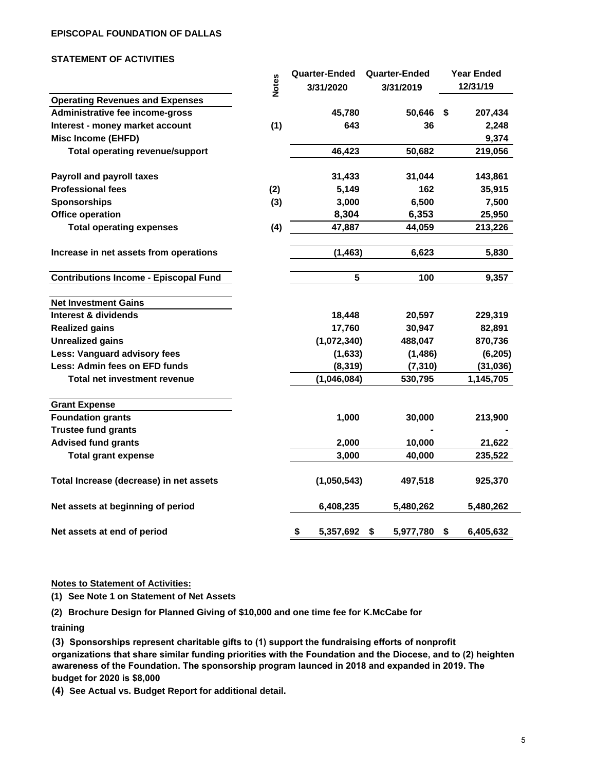#### **EPISCOPAL FOUNDATION OF DALLAS**

#### **STATEMENT OF ACTIVITIES**

|                                              |              | Quarter-Ended   | Quarter-Ended   |     | <b>Year Ended</b> |
|----------------------------------------------|--------------|-----------------|-----------------|-----|-------------------|
|                                              | <b>Notes</b> | 3/31/2020       | 3/31/2019       |     | 12/31/19          |
| <b>Operating Revenues and Expenses</b>       |              |                 |                 |     |                   |
| Administrative fee income-gross              |              | 45,780          | 50,646          | -\$ | 207,434           |
| Interest - money market account              | (1)          | 643             | 36              |     | 2,248             |
| <b>Misc Income (EHFD)</b>                    |              |                 |                 |     | 9,374             |
| <b>Total operating revenue/support</b>       |              | 46,423          | 50,682          |     | 219,056           |
| <b>Payroll and payroll taxes</b>             |              | 31,433          | 31,044          |     | 143,861           |
| <b>Professional fees</b>                     | (2)          | 5,149           | 162             |     | 35,915            |
| <b>Sponsorships</b>                          | (3)          | 3,000           | 6,500           |     | 7,500             |
| <b>Office operation</b>                      |              | 8,304           | 6,353           |     | 25,950            |
| <b>Total operating expenses</b>              | (4)          | 47,887          | 44,059          |     | 213,226           |
| Increase in net assets from operations       |              | (1, 463)        | 6,623           |     | 5,830             |
| <b>Contributions Income - Episcopal Fund</b> |              | 5               | 100             |     | 9,357             |
| <b>Net Investment Gains</b>                  |              |                 |                 |     |                   |
| Interest & dividends                         |              | 18,448          | 20,597          |     | 229,319           |
| <b>Realized gains</b>                        |              | 17,760          | 30,947          |     | 82,891            |
| <b>Unrealized gains</b>                      |              | (1,072,340)     | 488,047         |     | 870,736           |
| Less: Vanguard advisory fees                 |              | (1,633)         | (1, 486)        |     | (6, 205)          |
| Less: Admin fees on EFD funds                |              | (8, 319)        | (7, 310)        |     | (31, 036)         |
| <b>Total net investment revenue</b>          |              | (1,046,084)     | 530,795         |     | 1,145,705         |
| <b>Grant Expense</b>                         |              |                 |                 |     |                   |
| <b>Foundation grants</b>                     |              | 1,000           | 30,000          |     | 213,900           |
| <b>Trustee fund grants</b>                   |              |                 |                 |     |                   |
| <b>Advised fund grants</b>                   |              | 2,000           | 10,000          |     | 21,622            |
| <b>Total grant expense</b>                   |              | 3,000           | 40,000          |     | 235,522           |
| Total Increase (decrease) in net assets      |              | (1,050,543)     | 497,518         |     | 925,370           |
| Net assets at beginning of period            |              | 6,408,235       | 5,480,262       |     | 5,480,262         |
| Net assets at end of period                  |              | \$<br>5,357,692 | \$<br>5,977,780 | \$  | 6,405,632         |

#### **Notes to Statement of Activities:**

**(1) See Note 1 on Statement of Net Assets**

**(2) Brochure Design for Planned Giving of \$10,000 and one time fee for K.McCabe for**

**training**

**(3) Sponsorships represent charitable gifts to (1) support the fundraising efforts of nonprofit organizations that share similar funding priorities with the Foundation and the Diocese, and to (2) heighten awareness of the Foundation. The sponsorship program launced in 2018 and expanded in 2019. The budget for 2020 is \$8,000**

**(4) See Actual vs. Budget Report for additional detail.**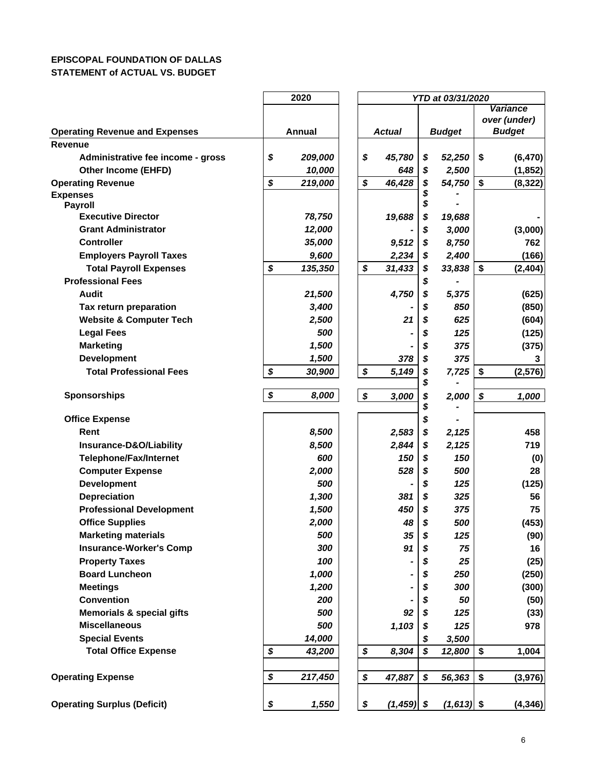## **EPISCOPAL FOUNDATION OF DALLAS STATEMENT of ACTUAL VS. BUDGET**

|                                                           | 2020          |  |    |               |          | YTD at 03/31/2020 |    |                 |  |  |
|-----------------------------------------------------------|---------------|--|----|---------------|----------|-------------------|----|-----------------|--|--|
|                                                           |               |  |    |               |          |                   |    | <b>Variance</b> |  |  |
|                                                           |               |  |    |               |          |                   |    | over (under)    |  |  |
| <b>Operating Revenue and Expenses</b>                     | Annual        |  |    | <b>Actual</b> |          | <b>Budget</b>     |    | <b>Budget</b>   |  |  |
| <b>Revenue</b>                                            |               |  |    |               |          |                   |    |                 |  |  |
| Administrative fee income - gross                         | \$<br>209,000 |  | \$ | 45,780        | \$       | 52,250            | \$ | (6, 470)        |  |  |
| Other Income (EHFD)                                       | 10,000        |  |    | 648           | \$       | 2,500             |    | (1, 852)        |  |  |
| <b>Operating Revenue</b>                                  | \$<br>219,000 |  | \$ | 46,428        | \$       | 54,750            | \$ | (8, 322)        |  |  |
| <b>Expenses</b><br><b>Payroll</b>                         |               |  |    |               | \$       |                   |    |                 |  |  |
| <b>Executive Director</b>                                 | 78,750        |  |    | 19,688        | \$       | 19,688            |    |                 |  |  |
| <b>Grant Administrator</b>                                | 12,000        |  |    |               | \$       | 3,000             |    | (3,000)         |  |  |
| <b>Controller</b>                                         | 35,000        |  |    | 9,512         | \$       | 8,750             |    | 762             |  |  |
| <b>Employers Payroll Taxes</b>                            | 9,600         |  |    | 2,234         | \$       | 2,400             |    |                 |  |  |
|                                                           |               |  |    |               |          |                   |    | (166)           |  |  |
| <b>Total Payroll Expenses</b><br><b>Professional Fees</b> | \$<br>135,350 |  | \$ | 31,433        | \$       | 33,838            | \$ | (2, 404)        |  |  |
| <b>Audit</b>                                              |               |  |    |               | \$       |                   |    |                 |  |  |
|                                                           | 21,500        |  |    | 4,750         | \$       | 5,375             |    | (625)           |  |  |
| Tax return preparation                                    | 3,400         |  |    |               | \$       | 850               |    | (850)           |  |  |
| <b>Website &amp; Computer Tech</b>                        | 2,500         |  |    | 21            | \$       | 625               |    | (604)           |  |  |
| <b>Legal Fees</b>                                         | 500           |  |    |               | \$       | 125               |    | (125)           |  |  |
| <b>Marketing</b>                                          | 1,500         |  |    |               | \$       | 375               |    | (375)           |  |  |
| <b>Development</b>                                        | 1,500         |  |    | 378           | \$       | 375               |    | 3               |  |  |
| <b>Total Professional Fees</b>                            | \$<br>30,900  |  | \$ | 5,149         | \$       | 7,725             | \$ | (2, 576)        |  |  |
| <b>Sponsorships</b>                                       | \$<br>8,000   |  | \$ | 3,000         | \$<br>\$ | 2,000             | \$ | 1,000           |  |  |
|                                                           |               |  |    |               | \$       |                   |    |                 |  |  |
| <b>Office Expense</b>                                     |               |  |    |               | \$       |                   |    |                 |  |  |
| Rent                                                      | 8,500         |  |    | 2,583         | \$       | 2,125             |    | 458             |  |  |
| Insurance-D&O/Liability                                   | 8,500         |  |    | 2,844         | \$       | 2,125             |    | 719             |  |  |
| <b>Telephone/Fax/Internet</b>                             | 600           |  |    | 150           | \$       | 150               |    | (0)             |  |  |
| <b>Computer Expense</b>                                   | 2,000         |  |    | 528           | \$       | 500               |    | 28              |  |  |
| <b>Development</b>                                        | 500           |  |    |               | \$       | 125               |    | (125)           |  |  |
| Depreciation                                              | 1,300         |  |    | 381           | \$       | 325               |    | 56              |  |  |
| <b>Professional Development</b>                           | 1,500         |  |    | 450           | \$       | 375               |    | 75              |  |  |
| <b>Office Supplies</b>                                    | 2,000         |  |    | 48            | \$       | 500               |    | (453)           |  |  |
| <b>Marketing materials</b>                                | 500           |  |    | 35            | \$       | 125               |    | (90)            |  |  |
| <b>Insurance-Worker's Comp</b>                            | 300           |  |    | 91            |          | 75                |    | 16              |  |  |
| <b>Property Taxes</b>                                     | 100           |  |    |               |          | 25                |    | (25)            |  |  |
| <b>Board Luncheon</b>                                     | 1,000         |  |    |               | \$       | 250               |    | (250)           |  |  |
| <b>Meetings</b>                                           | 1,200         |  |    |               | \$       | 300               |    | (300)           |  |  |
| <b>Convention</b>                                         | 200           |  |    |               | \$       | 50                |    | (50)            |  |  |
| <b>Memorials &amp; special gifts</b>                      | 500           |  |    | 92            | \$       | 125               |    | (33)            |  |  |
| <b>Miscellaneous</b>                                      | 500           |  |    | 1,103         | \$       | 125               |    | 978             |  |  |
| <b>Special Events</b>                                     | 14,000        |  |    |               | \$       | 3,500             |    |                 |  |  |
| <b>Total Office Expense</b>                               | \$<br>43,200  |  | \$ | 8,304         | \$       | 12,800            | \$ | 1,004           |  |  |
|                                                           |               |  |    |               |          |                   |    |                 |  |  |
| <b>Operating Expense</b>                                  | \$<br>217,450 |  | \$ | 47,887        | \$       | 56,363            | \$ | (3, 976)        |  |  |
|                                                           |               |  | \$ |               |          |                   |    |                 |  |  |
| <b>Operating Surplus (Deficit)</b>                        | \$<br>1,550   |  |    | $(1,459)$ \$  |          | $(1,613)$ \$      |    | (4, 346)        |  |  |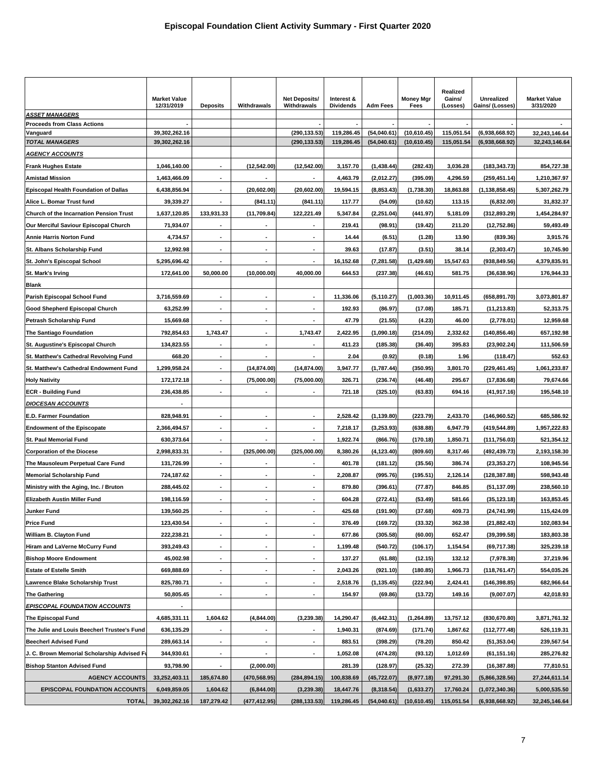|                                                | <b>Market Value</b><br>12/31/2019 | <b>Deposits</b>          | Withdrawals              | <b>Net Deposits/</b><br>Withdrawals | Interest &<br><b>Dividends</b> | <b>Adm Fees</b> | <b>Money Mgr</b><br>Fees | Realized<br>Gains/<br>(Losses) | <b>Unrealized</b><br>Gains/ (Losses) | <b>Market Value</b><br>3/31/2020 |
|------------------------------------------------|-----------------------------------|--------------------------|--------------------------|-------------------------------------|--------------------------------|-----------------|--------------------------|--------------------------------|--------------------------------------|----------------------------------|
| <b>ASSET MANAGERS</b>                          |                                   |                          |                          |                                     |                                |                 |                          |                                |                                      |                                  |
| <b>Proceeds from Class Actions</b>             | 39,302,262.16                     |                          |                          | (290, 133.53)                       | 119,286.45                     | (54,040.61)     | (10,610.45)              | 115,051.54                     | (6,938,668.92)                       |                                  |
| Vanguard<br><b>TOTAL MANAGERS</b>              | 39,302,262.16                     |                          |                          | (290, 133.53)                       | 119.286.45                     | (54,040.61)     | (10,610.45)              | 115,051.54                     | (6,938,668.92)                       | 32,243,146.64<br>32,243,146.64   |
| <u>AGENCY ACCOUNTS</u>                         |                                   |                          |                          |                                     |                                |                 |                          |                                |                                      |                                  |
| <b>Frank Hughes Estate</b>                     | 1,046,140.00                      |                          | (12,542.00)              | (12,542.00)                         | 3,157.70                       | (1,438.44)      | (282.43)                 | 3,036.28                       | (183, 343.73)                        | 854,727.38                       |
| <b>Amistad Mission</b>                         | 1,463,466.09                      | $\blacksquare$           |                          |                                     | 4,463.79                       | (2,012.27)      | (395.09)                 | 4,296.59                       | (259, 451.14)                        | 1,210,367.97                     |
| <b>Episcopal Health Foundation of Dallas</b>   | 6,438,856.94                      | $\overline{\phantom{a}}$ | (20.602.00)              | (20, 602.00)                        | 19,594.15                      | (8,853.43)      | (1,738.30)               | 18,863.88                      | (1, 138, 858.45)                     | 5,307,262.79                     |
| Alice L. Bomar Trust fund                      | 39,339.27                         | $\overline{\phantom{a}}$ | (841.11)                 | (841.11)                            | 117.77                         | (54.09)         | (10.62)                  | 113.15                         | (6,832.00)                           | 31,832.37                        |
| <b>Church of the Incarnation Pension Trust</b> | 1,637,120.85                      | 133,931.33               | (11,709.84)              | 122,221.49                          | 5,347.84                       | (2, 251.04)     | (441.97)                 | 5,181.09                       | (312, 893.29)                        | 1,454,284.97                     |
| Our Merciful Saviour Episcopal Church          | 71,934.07                         |                          |                          |                                     | 219.41                         | (98.91)         | (19.42)                  | 211.20                         | (12,752.86)                          | 59,493.49                        |
| Annie Harris Norton Fund                       | 4,734.57                          | ÷,                       | $\overline{\phantom{a}}$ | ٠                                   | 14.44                          | (6.51)          | (1.28)                   | 13.90                          | (839.36)                             | 3,915.76                         |
| St. Albans Scholarship Fund                    | 12,992.98                         | $\blacksquare$           |                          | $\overline{\phantom{a}}$            | 39.63                          | (17.87)         | (3.51)                   | 38.14                          | (2,303.47)                           | 10,745.90                        |
| St. John's Episcopal School                    | 5,295,696.42                      |                          |                          |                                     | 16,152.68                      | (7, 281.58)     | (1,429.68)               | 15,547.63                      | (938, 849.56)                        | 4,379,835.91                     |
| St. Mark's Irving                              | 172,641.00                        | 50,000.00                | (10,000.00)              | 40,000.00                           | 644.53                         | (237.38)        | (46.61)                  | 581.75                         | (36, 638.96)                         | 176,944.33                       |
| Blank                                          |                                   |                          |                          |                                     |                                |                 |                          |                                |                                      |                                  |
| Parish Episcopal School Fund                   | 3,716,559.69                      | $\overline{\phantom{a}}$ |                          |                                     | 11,336.06                      | (5, 110.27)     | (1,003.36)               | 10,911.45                      | (658, 891.70)                        | 3,073,801.87                     |
| Good Shepherd Episcopal Church                 | 63,252.99                         | $\blacksquare$           |                          |                                     | 192.93                         | (86.97)         | (17.08)                  | 185.71                         | (11, 213.83)                         | 52,313.75                        |
| Petrash Scholarship Fund                       | 15,669.68                         |                          |                          |                                     | 47.79                          | (21.55)         | (4.23)                   | 46.00                          | (2,778.01)                           | 12,959.68                        |
| The Santiago Foundation                        | 792,854.63                        | 1,743.47                 |                          | 1,743.47                            | 2,422.95                       | (1,090.18)      | (214.05)                 | 2,332.62                       | (140, 856.46)                        | 657,192.98                       |
| St. Augustine's Episcopal Church               | 134,823.55                        |                          |                          |                                     | 411.23                         | (185.38)        | (36.40)                  | 395.83                         | (23,902.24)                          | 111,506.59                       |
| St. Matthew's Cathedral Revolving Fund         | 668.20                            | $\overline{a}$           |                          | ٠                                   | 2.04                           | (0.92)          | (0.18)                   | 1.96                           | (118.47)                             | 552.63                           |
| St. Matthew's Cathedral Endowment Fund         | 1,299,958.24                      |                          | (14, 874.00)             | (14, 874.00)                        | 3,947.77                       | (1,787.44)      | (350.95)                 | 3,801.70                       | (229, 461.45)                        | 1,061,233.87                     |
| <b>Holy Nativity</b>                           | 172,172.18                        | $\blacksquare$           | (75,000.00)              | (75,000.00)                         | 326.71                         | (236.74)        | (46.48)                  | 295.67                         | (17, 836.68)                         | 79,674.66                        |
| <b>ECR - Building Fund</b>                     | 236,438.85                        |                          |                          |                                     | 721.18                         | (325.10)        | (63.83)                  | 694.16                         | (41, 917.16)                         | 195,548.10                       |
| <b>DIOCESAN ACCOUNTS</b>                       |                                   |                          |                          |                                     |                                |                 |                          |                                |                                      |                                  |
| E.D. Farmer Foundation                         | 828,948.91                        |                          | $\overline{a}$           |                                     | 2,528.42                       | (1, 139.80)     | (223.79)                 | 2,433.70                       | (146, 960.52)                        | 685,586.92                       |
| <b>Endowment of the Episcopate</b>             | 2,366,494.57                      |                          |                          |                                     | 7,218.17                       | (3, 253.93)     | (638.88)                 | 6,947.79                       | (419, 544.89)                        | 1,957,222.83                     |
| St. Paul Memorial Fund                         | 630,373.64                        |                          |                          |                                     | 1,922.74                       | (866.76)        | (170.18)                 | 1,850.71                       | (111, 756.03)                        | 521,354.12                       |
| <b>Corporation of the Diocese</b>              | 2,998,833.31                      | $\blacksquare$           | (325,000.00)             | (325,000.00)                        | 8,380.26                       | (4, 123.40)     | (809.60)                 | 8,317.46                       | (492,439.73)                         | 2,193,158.30                     |
| The Mausoleum Perpetual Care Fund              | 131,726.99                        | $\overline{a}$           | $\overline{\phantom{a}}$ | $\overline{\phantom{a}}$            | 401.78                         | (181.12)        | (35.56)                  | 386.74                         | (23, 353.27)                         | 108,945.56                       |
| <b>Memorial Scholarship Fund</b>               | 724,187.62                        | $\blacksquare$           | $\blacksquare$           | ٠                                   | 2,208.87                       | (995.76)        | (195.51)                 | 2,126.14                       | (128, 387.88)                        | 598,943.48                       |
| Ministry with the Aging, Inc. / Bruton         | 288,445.02                        | $\overline{a}$           |                          | ٠                                   | 879.80                         | (396.61)        | (77.87)                  | 846.85                         | (51, 137.09)                         | 238,560.10                       |
| Elizabeth Austin Miller Fund                   | 198,116.59                        | $\blacksquare$           | $\blacksquare$           | ٠                                   | 604.28                         | (272.41)        | (53.49)                  | 581.66                         | (35, 123.18)                         | 163,853.45                       |
| Junker Fund                                    | 139,560.25                        |                          |                          |                                     | 425.68                         | (191.90)        | (37.68)                  | 409.73                         | (24.741.99)                          | 115,424.09                       |
| <b>Price Fund</b>                              | 123,430.54                        | $\overline{\phantom{a}}$ | $\overline{a}$           | $\overline{\phantom{a}}$            | 376.49                         | (169.72)        | (33.32)                  | 362.38                         | (21, 882.43)                         | 102,083.94                       |
| William B. Clayton Fund                        | 222,238.21                        | $\overline{\phantom{a}}$ |                          | $\overline{\phantom{a}}$            | 677.86                         | (305.58)        | (60.00)                  | 652.47                         | (39, 399.58)                         | 183,803.38                       |
| Hiram and LaVerne McCurry Fund                 | 393,249.43                        | $\blacksquare$           | $\overline{\phantom{a}}$ | $\blacksquare$                      | 1,199.48                       | (540.72)        | (106.17)                 | 1,154.54                       | (69, 717.38)                         | 325,239.18                       |
| <b>Bishop Moore Endowment</b>                  | 45,002.98                         | $\overline{\phantom{a}}$ | $\blacksquare$           | ٠                                   | 137.27                         | (61.88)         | (12.15)                  | 132.12                         | (7,978.38)                           | 37,219.96                        |
| <b>Estate of Estelle Smith</b>                 | 669,888.69                        | $\overline{\phantom{a}}$ |                          | ٠                                   | 2,043.26                       | (921.10)        | (180.85)                 | 1,966.73                       | (118, 761.47)                        | 554,035.26                       |
| Lawrence Blake Scholarship Trust               | 825,780.71                        | $\blacksquare$           |                          | ٠                                   | 2,518.76                       | (1, 135.45)     | (222.94)                 | 2,424.41                       | (146, 398.85)                        | 682,966.64                       |
| <b>The Gathering</b>                           | 50,805.45                         |                          |                          |                                     | 154.97                         | (69.86)         | (13.72)                  | 149.16                         | (9,007.07)                           | 42,018.93                        |
| <b>EPISCOPAL FOUNDATION ACCOUNTS</b>           |                                   |                          |                          |                                     |                                |                 |                          |                                |                                      |                                  |
| The Episcopal Fund                             | 4,685,331.11                      | 1,604.62                 | (4,844.00)               | (3,239.38)                          | 14,290.47                      | (6, 442.31)     | (1,264.89)               | 13,757.12                      | (830, 670.80)                        | 3,871,761.32                     |
| The Julie and Louis Beecherl Trustee's Fund    | 636,135.29                        | $\blacksquare$           | $\blacksquare$           | $\blacksquare$                      | 1,940.31                       | (874.69)        | (171.74)                 | 1,867.62                       | (112, 777.48)                        | 526,119.31                       |
| <b>Beecherl Advised Fund</b>                   | 289,663.14                        | $\blacksquare$           | $\blacksquare$           | $\blacksquare$                      | 883.51                         | (398.29)        | (78.20)                  | 850.42                         | (51, 353.04)                         | 239,567.54                       |
| J. C. Brown Memorial Scholarship Advised F     | 344,930.61                        | $\blacksquare$           |                          |                                     | 1,052.08                       | (474.28)        | (93.12)                  | 1,012.69                       | (61, 151.16)                         | 285,276.82                       |
| <b>Bishop Stanton Advised Fund</b>             | 93,798.90                         |                          | (2,000.00)               |                                     | 281.39                         | (128.97)        | (25.32)                  | 272.39                         | (16, 387.88)                         | 77,810.51                        |
| <b>AGENCY ACCOUNTS</b>                         | 33,252,403.11                     | 185,674.80               | (470,568.95)             | (284, 894.15)                       | 100,838.69                     | (45,722.07)     | (8,977.18)               | 97,291.30                      | (5,866,328.56)                       | 27,244,611.14                    |
| <b>EPISCOPAL FOUNDATION ACCOUNTS</b>           | 6,049,859.05                      | 1,604.62                 | (6,844.00)               | (3,239.38)                          | 18,447.76                      | (8,318.54)      | (1,633.27)               | 17,760.24                      | (1,072,340.36)                       | 5,000,535.50                     |
| <b>TOTAL</b>                                   | 39,302,262.16                     | 187,279.42               | (477, 412.95)            | (288, 133.53)                       | 119,286.45                     | (54,040.61)     | (10,610.45)              | 115,051.54                     | (6,938,668.92)                       | 32,245,146.64                    |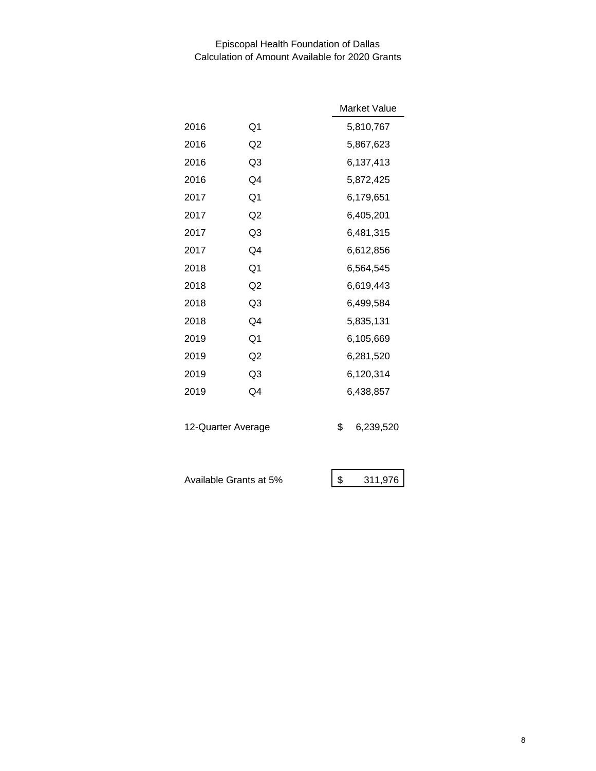# Episcopal Health Foundation of Dallas Calculation of Amount Available for 2020 Grants

|                        |                | Market Value    |
|------------------------|----------------|-----------------|
| 2016                   | Q1             | 5,810,767       |
| 2016                   | Q2             | 5,867,623       |
| 2016                   | Q3             | 6,137,413       |
| 2016                   | Q4             | 5,872,425       |
| 2017                   | Q1             | 6,179,651       |
| 2017                   | Q2             | 6,405,201       |
| 2017                   | Q <sub>3</sub> | 6,481,315       |
| 2017                   | Q4             | 6,612,856       |
| 2018                   | Q <sub>1</sub> | 6,564,545       |
| 2018                   | Q2             | 6,619,443       |
| 2018                   | Q <sub>3</sub> | 6,499,584       |
| 2018                   | Q4             | 5,835,131       |
| 2019                   | Q <sub>1</sub> | 6,105,669       |
| 2019                   | Q <sub>2</sub> | 6,281,520       |
| 2019                   | Q <sub>3</sub> | 6,120,314       |
| 2019                   | Q4             | 6,438,857       |
|                        |                |                 |
| 12-Quarter Average     |                | \$<br>6,239,520 |
|                        |                |                 |
| Available Grants at 5% |                | \$<br>311,976   |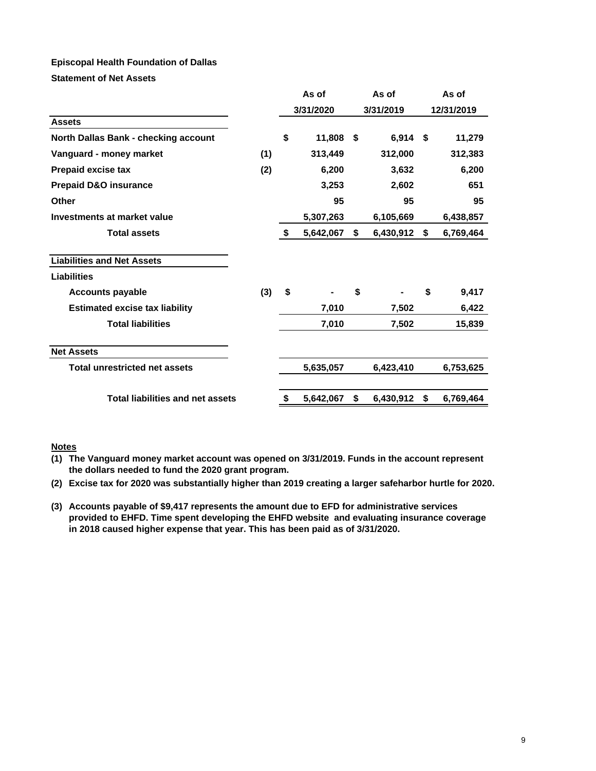### **Episcopal Health Foundation of Dallas**

**Statement of Net Assets**

|                                         |     | As of           | As of           | As of |            |  |
|-----------------------------------------|-----|-----------------|-----------------|-------|------------|--|
|                                         |     | 3/31/2020       | 3/31/2019       |       | 12/31/2019 |  |
| <b>Assets</b>                           |     |                 |                 |       |            |  |
| North Dallas Bank - checking account    |     | \$<br>11,808    | \$<br>6,914     | - \$  | 11,279     |  |
| Vanguard - money market                 | (1) | 313,449         | 312,000         |       | 312,383    |  |
| <b>Prepaid excise tax</b>               | (2) | 6,200           | 3,632           |       | 6,200      |  |
| <b>Prepaid D&amp;O insurance</b>        |     | 3,253           | 2,602           |       | 651        |  |
| <b>Other</b>                            |     | 95              | 95              |       | 95         |  |
| Investments at market value             |     | 5,307,263       | 6,105,669       |       | 6,438,857  |  |
| <b>Total assets</b>                     |     | \$<br>5,642,067 | \$<br>6,430,912 | \$    | 6,769,464  |  |
| <b>Liabilities and Net Assets</b>       |     |                 |                 |       |            |  |
| <b>Liabilities</b>                      |     |                 |                 |       |            |  |
| <b>Accounts payable</b>                 | (3) | \$              | \$              | \$    | 9,417      |  |
| <b>Estimated excise tax liability</b>   |     | 7,010           | 7,502           |       | 6,422      |  |
| <b>Total liabilities</b>                |     | 7,010           | 7,502           |       | 15,839     |  |
| <b>Net Assets</b>                       |     |                 |                 |       |            |  |
| <b>Total unrestricted net assets</b>    |     | 5,635,057       | 6,423,410       |       | 6,753,625  |  |
| <b>Total liabilities and net assets</b> |     | \$<br>5,642,067 | \$<br>6,430,912 | \$    | 6,769,464  |  |

#### **Notes**

**(1) The Vanguard money market account was opened on 3/31/2019. Funds in the account represent the dollars needed to fund the 2020 grant program.**

- **(2) Excise tax for 2020 was substantially higher than 2019 creating a larger safeharbor hurtle for 2020.**
- **(3) Accounts payable of \$9,417 represents the amount due to EFD for administrative services provided to EHFD. Time spent developing the EHFD website and evaluating insurance coverage in 2018 caused higher expense that year. This has been paid as of 3/31/2020.**